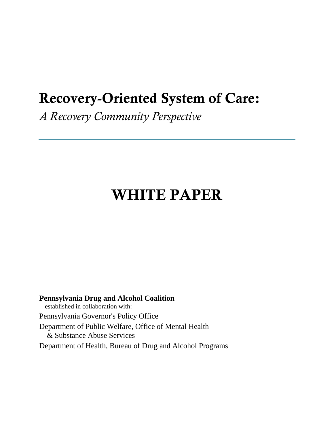# **Recovery-Oriented System of Care:**

*A Recovery Community Perspective*

# **WHITE PAPER**

**Pennsylvania Drug and Alcohol Coalition** established in collaboration with: Pennsylvania Governor's Policy Office Department of Public Welfare, Office of Mental Health & Substance Abuse Services Department of Health, Bureau of Drug and Alcohol Programs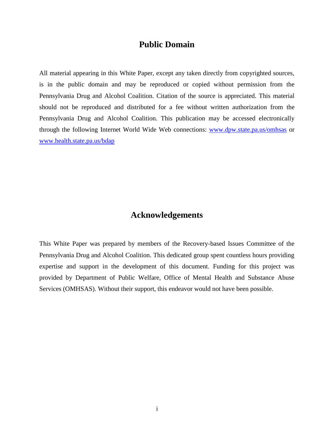# **Public Domain**

All material appearing in this White Paper, except any taken directly from copyrighted sources, is in the public domain and may be reproduced or copied without permission from the Pennsylvania Drug and Alcohol Coalition. Citation of the source is appreciated. This material should not be reproduced and distributed for a fee without written authorization from the Pennsylvania Drug and Alcohol Coalition. This publication may be accessed electronically through the following Internet World Wide Web connections: [www.dpw.state.pa.us/omhsas](http://www.dpw.xxxx/) or [www.health.state.pa.us/bdap](http://www.health.state.pa.us/bdap)

# **Acknowledgements**

This White Paper was prepared by members of the Recovery-based Issues Committee of the Pennsylvania Drug and Alcohol Coalition. This dedicated group spent countless hours providing expertise and support in the development of this document. Funding for this project was provided by Department of Public Welfare, Office of Mental Health and Substance Abuse Services (OMHSAS). Without their support, this endeavor would not have been possible.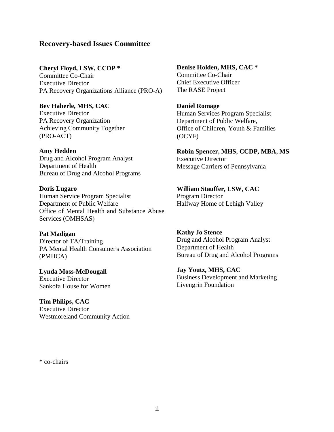## **Recovery-based Issues Committee**

**Cheryl Floyd, LSW, CCDP \***

Committee Co-Chair Executive Director PA Recovery Organizations Alliance (PRO-A)

## **Bev Haberle, MHS, CAC**

Executive Director PA Recovery Organization – Achieving Community Together (PRO-ACT)

#### **Amy Hedden**

Drug and Alcohol Program Analyst Department of Health Bureau of Drug and Alcohol Programs

#### **Doris Lugaro**

Human Service Program Specialist Department of Public Welfare Office of Mental Health and Substance Abuse Services (OMHSAS)

#### **Pat Madigan**

Director of TA/Training PA Mental Health Consumer's Association (PMHCA)

#### **Lynda Moss-McDougall** Executive Director Sankofa House for Women

**Tim Philips, CAC** Executive Director Westmoreland Community Action **Denise Holden, MHS, CAC \*** Committee Co-Chair Chief Executive Officer The RASE Project

#### **Daniel Romage**

Human Services Program Specialist Department of Public Welfare, Office of Children, Youth & Families (OCYF)

**Robin Spencer, MHS, CCDP, MBA, MS** Executive Director Message Carriers of Pennsylvania

#### **William Stauffer, LSW, CAC**

Program Director Halfway Home of Lehigh Valley

## **Kathy Jo Stence**

Drug and Alcohol Program Analyst Department of Health Bureau of Drug and Alcohol Programs

## **Jay Youtz, MHS, CAC**

Business Development and Marketing Livengrin Foundation

\* co-chairs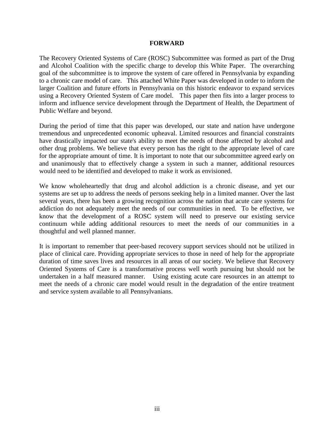#### **FORWARD**

The Recovery Oriented Systems of Care (ROSC) Subcommittee was formed as part of the Drug and Alcohol Coalition with the specific charge to develop this White Paper. The overarching goal of the subcommittee is to improve the system of care offered in Pennsylvania by expanding to a chronic care model of care. This attached White Paper was developed in order to inform the larger Coalition and future efforts in Pennsylvania on this historic endeavor to expand services using a Recovery Oriented System of Care model. This paper then fits into a larger process to inform and influence service development through the Department of Health, the Department of Public Welfare and beyond.

During the period of time that this paper was developed, our state and nation have undergone tremendous and unprecedented economic upheaval. Limited resources and financial constraints have drastically impacted our state's ability to meet the needs of those affected by alcohol and other drug problems. We believe that every person has the right to the appropriate level of care for the appropriate amount of time. It is important to note that our subcommittee agreed early on and unanimously that to effectively change a system in such a manner, additional resources would need to be identified and developed to make it work as envisioned.

We know wholeheartedly that drug and alcohol addiction is a chronic disease, and yet our systems are set up to address the needs of persons seeking help in a limited manner. Over the last several years, there has been a growing recognition across the nation that acute care systems for addiction do not adequately meet the needs of our communities in need. To be effective, we know that the development of a ROSC system will need to preserve our existing service continuum while adding additional resources to meet the needs of our communities in a thoughtful and well planned manner.

It is important to remember that peer-based recovery support services should not be utilized in place of clinical care. Providing appropriate services to those in need of help for the appropriate duration of time saves lives and resources in all areas of our society. We believe that Recovery Oriented Systems of Care is a transformative process well worth pursuing but should not be undertaken in a half measured manner. Using existing acute care resources in an attempt to meet the needs of a chronic care model would result in the degradation of the entire treatment and service system available to all Pennsylvanians.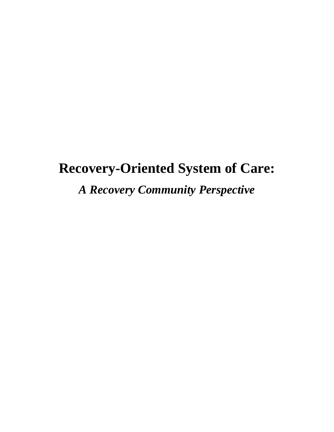# **Recovery-Oriented System of Care:**

*A Recovery Community Perspective*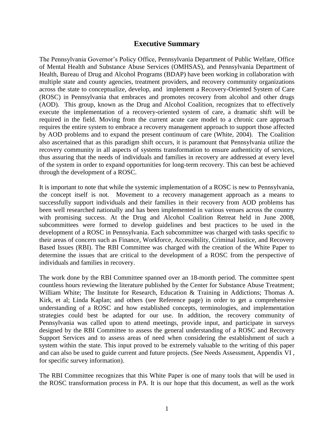## **Executive Summary**

The Pennsylvania Governor's Policy Office, Pennsylvania Department of Public Welfare, Office of Mental Health and Substance Abuse Services (OMHSAS), and Pennsylvania Department of Health, Bureau of Drug and Alcohol Programs (BDAP) have been working in collaboration with multiple state and county agencies, treatment providers, and recovery community organizations across the state to conceptualize, develop, and implement a Recovery-Oriented System of Care (ROSC) in Pennsylvania that embraces and promotes recovery from alcohol and other drugs (AOD). This group, known as the Drug and Alcohol Coalition, recognizes that to effectively execute the implementation of a recovery-oriented system of care, a dramatic shift will be required in the field. Moving from the current acute care model to a chronic care approach requires the entire system to embrace a recovery management approach to support those affected by AOD problems and to expand the present continuum of care (White, 2004). The Coalition also ascertained that as this paradigm shift occurs, it is paramount that Pennsylvania utilize the recovery community in all aspects of systems transformation to ensure authenticity of services, thus assuring that the needs of individuals and families in recovery are addressed at every level of the system in order to expand opportunities for long-term recovery. This can best be achieved through the development of a ROSC.

It is important to note that while the systemic implementation of a ROSC is new to Pennsylvania, the concept itself is not. Movement to a recovery management approach as a means to successfully support individuals and their families in their recovery from AOD problems has been well researched nationally and has been implemented in various venues across the country with promising success. At the Drug and Alcohol Coalition Retreat held in June 2008, subcommittees were formed to develop guidelines and best practices to be used in the development of a ROSC in Pennsylvania. Each subcommittee was charged with tasks specific to their areas of concern such as Finance, Workforce, Accessibility, Criminal Justice, and Recovery Based Issues (RBI). The RBI Committee was charged with the creation of the White Paper to determine the issues that are critical to the development of a ROSC from the perspective of individuals and families in recovery.

The work done by the RBI Committee spanned over an 18-month period. The committee spent countless hours reviewing the literature published by the Center for Substance Abuse Treatment; William White; The Institute for Research, Education & Training in Addictions; Thomas A. Kirk, et al; Linda Kaplan; and others (see Reference page) in order to get a comprehensive understanding of a ROSC and how established concepts, terminologies, and implementation strategies could best be adapted for our use. In addition, the recovery community of Pennsylvania was called upon to attend meetings, provide input, and participate in surveys designed by the RBI Committee to assess the general understanding of a ROSC and Recovery Support Services and to assess areas of need when considering the establishment of such a system within the state. This input proved to be extremely valuable to the writing of this paper and can also be used to guide current and future projects. (See Needs Assessment, Appendix VI , for specific survey information).

The RBI Committee recognizes that this White Paper is one of many tools that will be used in the ROSC transformation process in PA. It is our hope that this document, as well as the work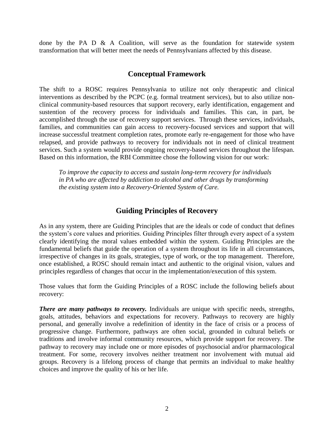done by the PA D  $\&$  A Coalition, will serve as the foundation for statewide system transformation that will better meet the needs of Pennsylvanians affected by this disease.

## **Conceptual Framework**

The shift to a ROSC requires Pennsylvania to utilize not only therapeutic and clinical interventions as described by the PCPC (e.g. formal treatment services), but to also utilize nonclinical community-based resources that support recovery, early identification, engagement and sustention of the recovery process for individuals and families. This can, in part, be accomplished through the use of recovery support services. Through these services, individuals, families, and communities can gain access to recovery-focused services and support that will increase successful treatment completion rates, promote early re-engagement for those who have relapsed, and provide pathways to recovery for individuals not in need of clinical treatment services. Such a system would provide ongoing recovery-based services throughout the lifespan. Based on this information, the RBI Committee chose the following vision for our work:

*To improve the capacity to access and sustain long-term recovery for individuals in PA who are affected by addiction to alcohol and other drugs by transforming the existing system into a Recovery-Oriented System of Care.*

## **Guiding Principles of Recovery**

As in any system, there are Guiding Principles that are the ideals or code of conduct that defines the system's core values and priorities. Guiding Principles filter through every aspect of a system clearly identifying the moral values embedded within the system. Guiding Principles are the fundamental beliefs that guide the operation of a system throughout its life in all circumstances, irrespective of [changes](http://www.businessdictionary.com/definition/changes.html) in its [goals,](http://www.businessdictionary.com/definition/goal.html) [strategies,](http://www.businessdictionary.com/definition/strategy.html) type of [work,](http://www.businessdictionary.com/definition/work.html) or the [top management.](http://www.businessdictionary.com/definition/top-management.html) Therefore, once established, a ROSC should remain intact and authentic to the original vision, values and principles regardless of changes that occur in the implementation/execution of this system.

Those values that form the Guiding Principles of a ROSC include the following beliefs about recovery:

*There are many pathways to recovery.* Individuals are unique with specific needs, strengths, goals, attitudes, behaviors and expectations for recovery. Pathways to recovery are highly personal, and generally involve a redefinition of identity in the face of crisis or a process of progressive change. Furthermore, pathways are often social, grounded in cultural beliefs or traditions and involve informal community resources, which provide support for recovery. The pathway to recovery may include one or more episodes of psychosocial and/or pharmacological treatment. For some, recovery involves neither treatment nor involvement with mutual aid groups. Recovery is a lifelong process of change that permits an individual to make healthy choices and improve the quality of his or her life.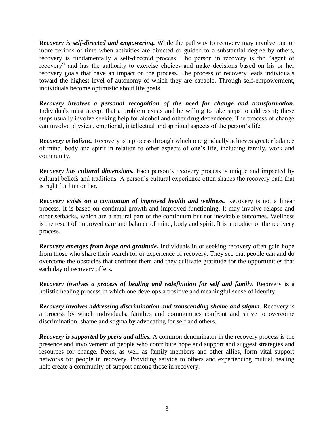*Recovery is self-directed and empowering.* While the pathway to recovery may involve one or more periods of time when activities are directed or guided to a substantial degree by others, recovery is fundamentally a self-directed process. The person in recovery is the "agent of recovery" and has the authority to exercise choices and make decisions based on his or her recovery goals that have an impact on the process. The process of recovery leads individuals toward the highest level of autonomy of which they are capable. Through self-empowerment, individuals become optimistic about life goals.

*Recovery involves a personal recognition of the need for change and transformation.* Individuals must accept that a problem exists and be willing to take steps to address it; these steps usually involve seeking help for alcohol and other drug dependence. The process of change can involve physical, emotional, intellectual and spiritual aspects of the person's life.

*Recovery is holistic.* Recovery is a process through which one gradually achieves greater balance of mind, body and spirit in relation to other aspects of one's life, including family, work and community.

*Recovery has cultural dimensions.* Each person's recovery process is unique and impacted by cultural beliefs and traditions. A person's cultural experience often shapes the recovery path that is right for him or her.

*Recovery exists on a continuum of improved health and wellness.* Recovery is not a linear process. It is based on continual growth and improved functioning. It may involve relapse and other setbacks, which are a natural part of the continuum but not inevitable outcomes. Wellness is the result of improved care and balance of mind, body and spirit. It is a product of the recovery process.

*Recovery emerges from hope and gratitude.* Individuals in or seeking recovery often gain hope from those who share their search for or experience of recovery. They see that people can and do overcome the obstacles that confront them and they cultivate gratitude for the opportunities that each day of recovery offers.

*Recovery involves a process of healing and redefinition for self and family. Recovery is a* holistic healing process in which one develops a positive and meaningful sense of identity.

*Recovery involves addressing discrimination and transcending shame and stigma.* Recovery is a process by which individuals, families and communities confront and strive to overcome discrimination, shame and stigma by advocating for self and others.

*Recovery is supported by peers and allies.* A common denominator in the recovery process is the presence and involvement of people who contribute hope and support and suggest strategies and resources for change. Peers, as well as family members and other allies, form vital support networks for people in recovery. Providing service to others and experiencing mutual healing help create a community of support among those in recovery.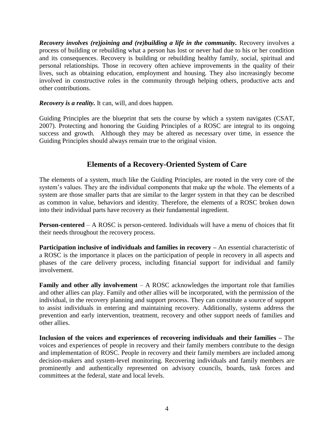*Recovery involves (re)joining and (re)building a life in the community.* Recovery involves a process of building or rebuilding what a person has lost or never had due to his or her condition and its consequences. Recovery is building or rebuilding healthy family, social, spiritual and personal relationships. Those in recovery often achieve improvements in the quality of their lives, such as obtaining education, employment and housing. They also increasingly become involved in constructive roles in the community through helping others, productive acts and other contributions.

*Recovery is a reality.* It can, will, and does happen.

Guiding Principles are the blueprint that sets the course by which a system navigates (CSAT, 2007). Protecting and honoring the Guiding Principles of a ROSC are integral to its ongoing success and growth. Although they may be altered as necessary over time, in essence the Guiding Principles should always remain true to the original vision.

# **Elements of a Recovery-Oriented System of Care**

The elements of a system, much like the Guiding Principles, are rooted in the very core of the system's values. They are the individual components that make up the whole. The elements of a system are those smaller parts that are similar to the larger system in that they can be described as common in value, behaviors and identity. Therefore, the elements of a ROSC broken down into their individual parts have recovery as their fundamental ingredient.

**Person-centered** – A ROSC is person-centered. Individuals will have a menu of choices that fit their needs throughout the recovery process.

**Participation inclusive of individuals and families in recovery –** An essential characteristic of a ROSC is the importance it places on the participation of people in recovery in all aspects and phases of the care delivery process, including financial support for individual and family involvement.

**Family and other ally involvement** – A ROSC acknowledges the important role that families and other allies can play. Family and other allies will be incorporated, with the permission of the individual, in the recovery planning and support process. They can constitute a source of support to assist individuals in entering and maintaining recovery. Additionally, systems address the prevention and early intervention, treatment, recovery and other support needs of families and other allies.

**Inclusion of the voices and experiences of recovering individuals and their families –** The voices and experiences of people in recovery and their family members contribute to the design and implementation of ROSC. People in recovery and their family members are included among decision-makers and system-level monitoring. Recovering individuals and family members are prominently and authentically represented on advisory councils, boards, task forces and committees at the federal, state and local levels.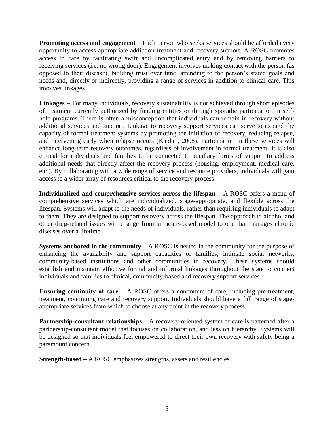**Promoting access and engagement** – Each person who seeks services should be afforded every opportunity to access appropriate addiction treatment and recovery support. A ROSC promotes access to care by facilitating swift and uncomplicated entry and by removing barriers to receiving services (i.e. no wrong door). Engagement involves making contact with the person (as opposed to their disease), building trust over time, attending to the person's stated goals and needs and, directly or indirectly, providing a range of services in addition to clinical care. This involves linkages.

**Linkages** – For many individuals, recovery sustainability is not achieved through short episodes of treatment currently authorized by funding entities or through sporadic participation in selfhelp programs. There is often a misconception that individuals can remain in recovery without additional services and support. Linkage to recovery support services can serve to expand the capacity of formal treatment systems by promoting the initiation of recovery, reducing relapse, and intervening early when relapse occurs (Kaplan, 2008). Participation in these services will enhance long-term recovery outcomes, regardless of involvement in formal treatment. It is also critical for individuals and families to be connected to ancillary forms of support to address additional needs that directly affect the recovery process (housing, employment, medical care, etc.). By collaborating with a wide range of service and resource providers, individuals will gain access to a wider array of resources critical to the recovery process.

**Individualized and comprehensive services across the lifespan –** A ROSC offers a menu of comprehensive services which are individualized, stage-appropriate, and flexible across the lifespan. Systems will adapt to the needs of individuals, rather than requiring individuals to adapt to them. They are designed to support recovery across the lifespan. The approach to alcohol and other drug-related issues will change from an acute-based model to one that manages chronic diseases over a lifetime.

**Systems anchored in the community –** A ROSC is nested in the community for the purpose of enhancing the availability and support capacities of families, intimate social networks, community-based institutions and other communities in recovery. These systems should establish and maintain effective formal and informal linkages throughout the state to connect individuals and families to clinical, community-based and recovery support services.

**Ensuring continuity of care –** A ROSC offers a continuum of care, including pre-treatment, treatment, continuing care and recovery support. Individuals should have a full range of stageappropriate services from which to choose at any point in the recovery process.

**Partnership-consultant relationships** – A recovery-oriented system of care is patterned after a partnership-consultant model that focuses on collaboration, and less on hierarchy. Systems will be designed so that individuals feel empowered to direct their own recovery with safety being a paramount concern.

**Strength-based –** A ROSC emphasizes strengths, assets and resiliencies.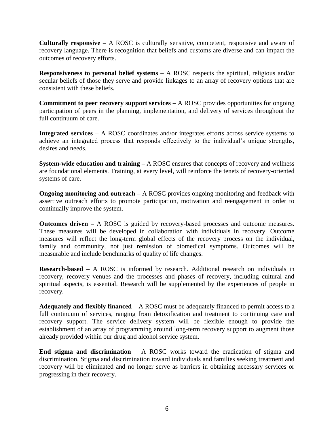**Culturally responsive –** A ROSC is culturally sensitive, competent, responsive and aware of recovery language. There is recognition that beliefs and customs are diverse and can impact the outcomes of recovery efforts.

**Responsiveness to personal belief systems –** A ROSC respects the spiritual, religious and/or secular beliefs of those they serve and provide linkages to an array of recovery options that are consistent with these beliefs.

**Commitment to peer recovery support services –** A ROSC provides opportunities for ongoing participation of peers in the planning, implementation, and delivery of services throughout the full continuum of care.

**Integrated services –** A ROSC coordinates and/or integrates efforts across service systems to achieve an integrated process that responds effectively to the individual's unique strengths, desires and needs.

**System-wide education and training –** A ROSC ensures that concepts of recovery and wellness are foundational elements. Training, at every level, will reinforce the tenets of recovery-oriented systems of care.

**Ongoing monitoring and outreach** – A ROSC provides ongoing monitoring and feedback with assertive outreach efforts to promote participation, motivation and reengagement in order to continually improve the system.

**Outcomes driven** – A ROSC is guided by recovery-based processes and outcome measures. These measures will be developed in collaboration with individuals in recovery. Outcome measures will reflect the long-term global effects of the recovery process on the individual, family and community, not just remission of biomedical symptoms. Outcomes will be measurable and include benchmarks of quality of life changes.

**Research-based –** A ROSC is informed by research. Additional research on individuals in recovery, recovery venues and the processes and phases of recovery, including cultural and spiritual aspects, is essential. Research will be supplemented by the experiences of people in recovery.

**Adequately and flexibly financed –** A ROSC must be adequately financed to permit access to a full continuum of services, ranging from detoxification and treatment to continuing care and recovery support. The service delivery system will be flexible enough to provide the establishment of an array of programming around long-term recovery support to augment those already provided within our drug and alcohol service system.

**End stigma and discrimination** – A ROSC works toward the eradication of stigma and discrimination. Stigma and discrimination toward individuals and families seeking treatment and recovery will be eliminated and no longer serve as barriers in obtaining necessary services or progressing in their recovery.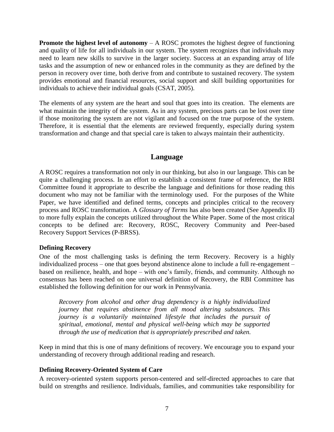**Promote the highest level of autonomy** – A ROSC promotes the highest degree of functioning and quality of life for all individuals in our system. The system recognizes that individuals may need to learn new skills to survive in the larger society. Success at an expanding array of life tasks and the assumption of new or enhanced roles in the community as they are defined by the person in recovery over time, both derive from and contribute to sustained recovery. The system provides emotional and financial resources, social support and skill building opportunities for individuals to achieve their individual goals (CSAT, 2005).

The elements of any system are the heart and soul that goes into its creation. The elements are what maintain the integrity of the system. As in any system, precious parts can be lost over time if those monitoring the system are not vigilant and focused on the true purpose of the system. Therefore, it is essential that the elements are reviewed frequently, especially during system transformation and change and that special care is taken to always maintain their authenticity.

## **Language**

A ROSC requires a transformation not only in our thinking, but also in our language. This can be quite a challenging process. In an effort to establish a consistent frame of reference, the RBI Committee found it appropriate to describe the language and definitions for those reading this document who may not be familiar with the terminology used. For the purposes of the White Paper, we have identified and defined terms, concepts and principles critical to the recovery process and ROSC transformation. A *Glossary of Terms* has also been created (See Appendix II) to more fully explain the concepts utilized throughout the White Paper. Some of the most critical concepts to be defined are: Recovery, ROSC, Recovery Community and Peer-based Recovery Support Services (P-BRSS).

## **Defining Recovery**

One of the most challenging tasks is defining the term Recovery. Recovery is a highly individualized process – one that goes beyond abstinence alone to include a full re-engagement – based on resilience, health, and hope – with one's family, friends, and community. Although no consensus has been reached on one universal definition of Recovery, the RBI Committee has established the following definition for our work in Pennsylvania.

*Recovery from alcohol and other drug dependency is a highly individualized journey that requires abstinence from all mood altering substances. This journey is a voluntarily maintained lifestyle that includes the pursuit of spiritual, emotional, mental and physical well-being which may be supported through the use of medication that is appropriately prescribed and taken.*

Keep in mind that this is one of many definitions of recovery. We encourage you to expand your understanding of recovery through additional reading and research.

#### **Defining Recovery-Oriented System of Care**

A recovery-oriented system supports person-centered and self-directed approaches to care that build on strengths and resilience. Individuals, families, and communities take responsibility for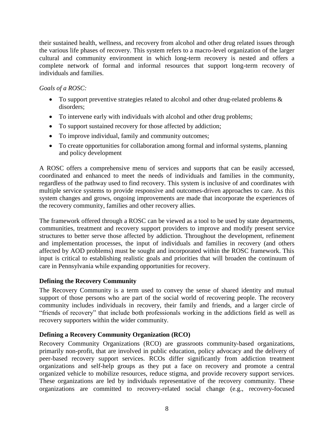their sustained health, wellness, and recovery from alcohol and other drug related issues through the various life phases of recovery. This system refers to a macro-level organization of the larger cultural and community environment in which long-term recovery is nested and offers a complete network of formal and informal resources that support long-term recovery of individuals and families.

## *Goals of a ROSC:*

- To support preventive strategies related to alcohol and other drug-related problems  $\&$ disorders;
- To intervene early with individuals with alcohol and other drug problems;
- To support sustained recovery for those affected by addiction;
- To improve individual, family and community outcomes;
- To create opportunities for collaboration among formal and informal systems, planning and policy development

A ROSC offers a comprehensive menu of services and supports that can be easily accessed, coordinated and enhanced to meet the needs of individuals and families in the community, regardless of the pathway used to find recovery. This system is inclusive of and coordinates with multiple service systems to provide responsive and outcomes-driven approaches to care. As this system changes and grows, ongoing improvements are made that incorporate the experiences of the recovery community, families and other recovery allies.

The framework offered through a ROSC can be viewed as a tool to be used by state departments, communities, treatment and recovery support providers to improve and modify present service structures to better serve those affected by addiction. Throughout the development, refinement and implementation processes, the input of individuals and families in recovery (and others affected by AOD problems) must be sought and incorporated within the ROSC framework. This input is critical to establishing realistic goals and priorities that will broaden the continuum of care in Pennsylvania while expanding opportunities for recovery.

## **Defining the Recovery Community**

The Recovery Community is a term used to convey the sense of shared identity and mutual support of those persons who are part of the social world of recovering people. The recovery community includes individuals in recovery, their family and friends, and a larger circle of ―friends of recovery‖ that include both professionals working in the addictions field as well as recovery supporters within the wider community.

## **Defining a Recovery Community Organization (RCO)**

Recovery Community Organizations (RCO) are grassroots community-based organizations, primarily non-profit, that are involved in public education, policy advocacy and the delivery of peer-based recovery support services. RCOs differ significantly from addiction treatment organizations and self-help groups as they put a face on recovery and promote a central organized vehicle to mobilize resources, reduce stigma, and provide recovery support services. These organizations are led by individuals representative of the recovery community. These organizations are committed to recovery-related social change (e.g., recovery-focused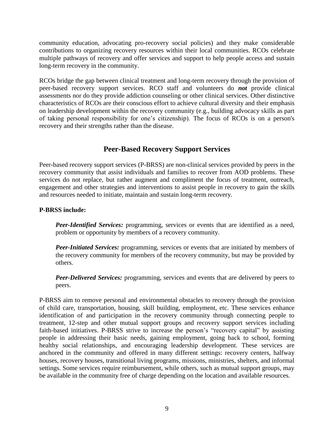community education, advocating pro-recovery social policies) and they make considerable contributions to organizing recovery resources within their local communities. RCOs celebrate multiple pathways of recovery and offer services and support to help people access and sustain long-term recovery in the community.

RCOs bridge the gap between clinical treatment and long-term recovery through the provision of peer-based recovery support services. RCO staff and volunteers do *not* provide clinical assessments nor do they provide addiction counseling or other clinical services. Other distinctive characteristics of RCOs are their conscious effort to achieve cultural diversity and their emphasis on leadership development within the recovery community (e.g., building advocacy skills as part of taking personal responsibility for one's citizenship). The focus of RCOs is on a person's recovery and their strengths rather than the disease.

# **Peer-Based Recovery Support Services**

Peer-based recovery support services (P-BRSS) are non-clinical services provided by peers in the recovery community that assist individuals and families to recover from AOD problems. These services do not replace, but rather augment and compliment the focus of treatment, outreach, engagement and other strategies and interventions to assist people in recovery to gain the skills and resources needed to initiate, maintain and sustain long-term recovery.

## **P-BRSS include:**

*Peer-Identified Services:* programming, services or events that are identified as a need, problem or opportunity by members of a recovery community.

*Peer-Initiated Services:* programming, services or events that are initiated by members of the recovery community for members of the recovery community, but may be provided by others.

*Peer-Delivered Services:* programming, services and events that are delivered by peers to peers.

P-BRSS aim to remove personal and environmental obstacles to recovery through the provision of child care, transportation, housing, skill building, employment, etc. These services enhance identification of and participation in the recovery community through connecting people to treatment, 12-step and other mutual support groups and recovery support services including faith-based initiatives. P-BRSS strive to increase the person's "recovery capital" by assisting people in addressing their basic needs, gaining employment, going back to school, forming healthy social relationships, and encouraging leadership development. These services are anchored in the community and offered in many different settings: recovery centers, halfway houses, recovery houses, transitional living programs, missions, ministries, shelters, and informal settings. Some services require reimbursement, while others, such as mutual support groups, may be available in the community free of charge depending on the location and available resources.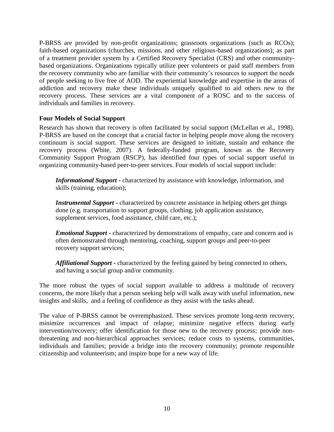P-BRSS are provided by non-profit organizations; grassroots organizations (such as RCOs); faith-based organizations (churches, missions, and other religious-based organizations); as part of a treatment provider system by a Certified Recovery Specialist (CRS) and other communitybased organizations. Organizations typically utilize peer volunteers or paid staff members from the recovery community who are familiar with their community's resources to support the needs of people seeking to live free of AOD. The experiential knowledge and expertise in the areas of addiction and recovery make these individuals uniquely qualified to aid others new to the recovery process. These services are a vital component of a ROSC and to the success of individuals and families in recovery.

## **Four Models of Social Support**

Research has shown that recovery is often facilitated by social support (McLellan et al., 1998). P-BRSS are based on the concept that a crucial factor in helping people move along the recovery continuum is social support. These services are designed to initiate, sustain and enhance the recovery process (White, 2007). A federally-funded program, known as the Recovery Community Support Program (RSCP), has identified four types of social support useful in organizing community-based peer-to-peer services. Four models of social support include:

*Informational Support* **-** characterized by assistance with knowledge, information, and skills (training, education);

*Instrumental Support* **-** characterized by concrete assistance in helping others get things done (e.g. transportation to support groups, clothing, job application assistance, supplement services, food assistance, child care, etc.);

*Emotional Support* **-** characterized by demonstrations of empathy, care and concern and is often demonstrated through mentoring, coaching, support groups and peer-to-peer recovery support services;

*Affiliational Support* **-** characterized by the feeling gained by being connected to others, and having a social group and/or community.

The more robust the types of social support available to address a multitude of recovery concerns, the more likely that a person seeking help will walk away with useful information, new insights and skills, and a feeling of confidence as they assist with the tasks ahead.

The value of P-BRSS cannot be overemphasized. These services promote long-term recovery; minimize occurrences and impact of relapse; minimize negative effects during early intervention/recovery; offer identification for those new to the recovery process; provide nonthreatening and non-hierarchical approaches services; reduce costs to systems, communities, individuals and families; provide a bridge into the recovery community; promote responsible citizenship and volunteerism; and inspire hope for a new way of life.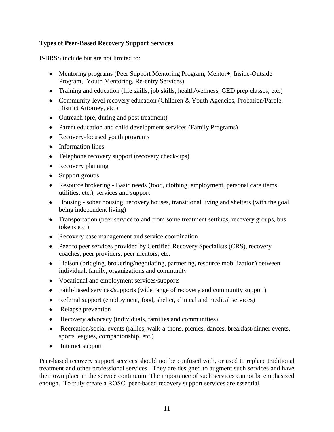## **Types of Peer-Based Recovery Support Services**

P-BRSS include but are not limited to:

- Mentoring programs (Peer Support Mentoring Program, Mentor+, Inside-Outside Program, Youth Mentoring, Re-entry Services)
- Training and education (life skills, job skills, health/wellness, GED prep classes, etc.)
- Community-level recovery education (Children & Youth Agencies, Probation/Parole, District Attorney, etc.)
- Outreach (pre, during and post treatment)
- Parent education and child development services (Family Programs)
- Recovery-focused youth programs
- Information lines
- Telephone recovery support (recovery check-ups)
- Recovery planning
- Support groups
- Resource brokering Basic needs (food, clothing, employment, personal care items, utilities, etc.), services and support
- Housing sober housing, recovery houses, transitional living and shelters (with the goal being independent living)
- Transportation (peer service to and from some treatment settings, recovery groups, bus tokens etc.)
- Recovery case management and service coordination
- Peer to peer services provided by Certified Recovery Specialists (CRS), recovery coaches, peer providers, peer mentors, etc.
- Liaison (bridging, brokering/negotiating, partnering, resource mobilization) between individual, family, organizations and community
- Vocational and employment services/supports
- Faith-based services/supports (wide range of recovery and community support)
- Referral support (employment, food, shelter, clinical and medical services)
- Relapse prevention
- Recovery advocacy (individuals, families and communities)
- Recreation/social events (rallies, walk-a-thons, picnics, dances, breakfast/dinner events, sports leagues, companionship, etc.)
- Internet support

Peer-based recovery support services should not be confused with, or used to replace traditional treatment and other professional services. They are designed to augment such services and have their own place in the service continuum. The importance of such services cannot be emphasized enough. To truly create a ROSC, peer-based recovery support services are essential.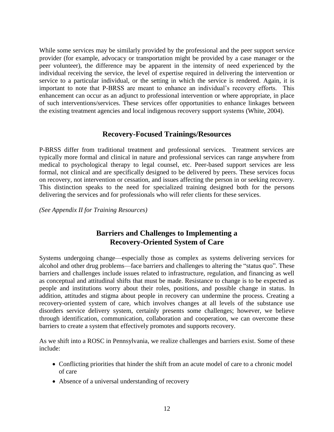While some services may be similarly provided by the professional and the peer support service provider (for example, advocacy or transportation might be provided by a case manager or the peer volunteer), the difference may be apparent in the intensity of need experienced by the individual receiving the service, the level of expertise required in delivering the intervention or service to a particular individual, or the setting in which the service is rendered. Again, it is important to note that P-BRSS are meant to enhance an individual's recovery efforts. This enhancement can occur as an adjunct to professional intervention or where appropriate, in place of such interventions/services. These services offer opportunities to enhance linkages between the existing treatment agencies and local indigenous recovery support systems (White, 2004).

## **Recovery-Focused Trainings/Resources**

P-BRSS differ from traditional treatment and professional services. Treatment services are typically more formal and clinical in nature and professional services can range anywhere from medical to psychological therapy to legal counsel, etc. Peer-based support services are less formal, not clinical and are specifically designed to be delivered by peers. These services focus on recovery, not intervention or cessation, and issues affecting the person in or seeking recovery. This distinction speaks to the need for specialized training designed both for the persons delivering the services and for professionals who will refer clients for these services.

*(See Appendix II for Training Resources)*

# **Barriers and Challenges to Implementing a Recovery-Oriented System of Care**

Systems undergoing change—especially those as complex as systems delivering services for alcohol and other drug problems—face barriers and challenges to altering the "status quo". These barriers and challenges include issues related to infrastructure, regulation, and financing as well as conceptual and attitudinal shifts that must be made. Resistance to change is to be expected as people and institutions worry about their roles, positions, and possible change in status. In addition, attitudes and stigma about people in recovery can undermine the process. Creating a recovery-oriented system of care, which involves changes at all levels of the substance use disorders service delivery system, certainly presents some challenges; however, we believe through identification, communication, collaboration and cooperation, we can overcome these barriers to create a system that effectively promotes and supports recovery.

As we shift into a ROSC in Pennsylvania, we realize challenges and barriers exist. Some of these include:

- Conflicting priorities that hinder the shift from an acute model of care to a chronic model of care
- Absence of a universal understanding of recovery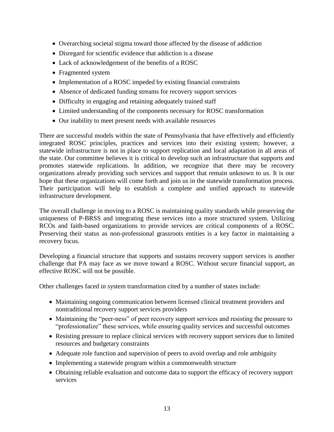- Overarching societal stigma toward those affected by the disease of addiction
- Disregard for scientific evidence that addiction is a disease
- Lack of acknowledgement of the benefits of a ROSC
- Fragmented system
- Implementation of a ROSC impeded by existing financial constraints
- Absence of dedicated funding streams for recovery support services
- Difficulty in engaging and retaining adequately trained staff
- Limited understanding of the components necessary for ROSC transformation
- Our inability to meet present needs with available resources

There are successful models within the state of Pennsylvania that have effectively and efficiently integrated ROSC principles, practices and services into their existing system; however, a statewide infrastructure is not in place to support replication and local adaptation in all areas of the state. Our committee believes it is critical to develop such an infrastructure that supports and promotes statewide replications. In addition, we recognize that there may be recovery organizations already providing such services and support that remain unknown to us. It is our hope that these organizations will come forth and join us in the statewide transformation process. Their participation will help to establish a complete and unified approach to statewide infrastructure development.

The overall challenge in moving to a ROSC is maintaining quality standards while preserving the uniqueness of P-BRSS and integrating these services into a more structured system. Utilizing RCOs and faith-based organizations to provide services are critical components of a ROSC. Preserving their status as non-professional grassroots entities is a key factor in maintaining a recovery focus.

Developing a financial structure that supports and sustains recovery support services is another challenge that PA may face as we move toward a ROSC. Without secure financial support, an effective ROSC will not be possible.

Other challenges faced in system transformation cited by a number of states include:

- Maintaining ongoing communication between licensed clinical treatment providers and nontraditional recovery support services providers
- Maintaining the "peer-ness" of peer recovery support services and resisting the pressure to "professionalize" these services, while ensuring quality services and successful outcomes
- Resisting pressure to replace clinical services with recovery support services due to limited resources and budgetary constraints
- Adequate role function and supervision of peers to avoid overlap and role ambiguity
- Implementing a statewide program within a commonwealth structure
- Obtaining reliable evaluation and outcome data to support the efficacy of recovery support services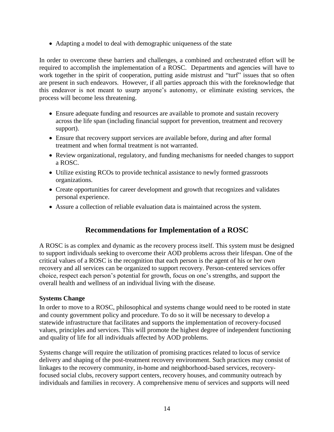Adapting a model to deal with demographic uniqueness of the state

In order to overcome these barriers and challenges, a combined and orchestrated effort will be required to accomplish the implementation of a ROSC. Departments and agencies will have to work together in the spirit of cooperation, putting aside mistrust and "turf" issues that so often are present in such endeavors. However, if all parties approach this with the foreknowledge that this endeavor is not meant to usurp anyone's autonomy, or eliminate existing services, the process will become less threatening.

- Ensure adequate funding and resources are available to promote and sustain recovery across the life span (including financial support for prevention, treatment and recovery support).
- Ensure that recovery support services are available before, during and after formal treatment and when formal treatment is not warranted.
- Review organizational, regulatory, and funding mechanisms for needed changes to support a ROSC.
- Utilize existing RCOs to provide technical assistance to newly formed grassroots organizations.
- Create opportunities for career development and growth that recognizes and validates personal experience.
- Assure a collection of reliable evaluation data is maintained across the system.

# **Recommendations for Implementation of a ROSC**

A ROSC is as complex and dynamic as the recovery process itself. This system must be designed to support individuals seeking to overcome their AOD problems across their lifespan. One of the critical values of a ROSC is the recognition that each person is the agent of his or her own recovery and all services can be organized to support recovery. Person-centered services offer choice, respect each person's potential for growth, focus on one's strengths, and support the overall health and wellness of an individual living with the disease.

## **Systems Change**

In order to move to a ROSC, philosophical and systems change would need to be rooted in state and county government policy and procedure. To do so it will be necessary to develop a statewide infrastructure that facilitates and supports the implementation of recovery-focused values, principles and services. This will promote the highest degree of independent functioning and quality of life for all individuals affected by AOD problems.

Systems change will require the utilization of promising practices related to locus of service delivery and shaping of the post-treatment recovery environment. Such practices may consist of linkages to the recovery community, in-home and neighborhood-based services, recoveryfocused social clubs, recovery support centers, recovery houses, and community outreach by individuals and families in recovery. A comprehensive menu of services and supports will need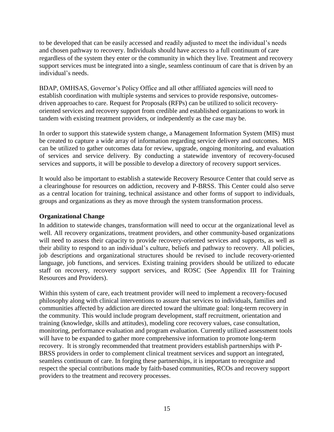to be developed that can be easily accessed and readily adjusted to meet the individual's needs and chosen pathway to recovery. Individuals should have access to a full continuum of care regardless of the system they enter or the community in which they live. Treatment and recovery support services must be integrated into a single, seamless continuum of care that is driven by an individual's needs.

BDAP, OMHSAS, Governor's Policy Office and all other affiliated agencies will need to establish coordination with multiple systems and services to provide responsive, outcomesdriven approaches to care. Request for Proposals (RFPs) can be utilized to solicit recoveryoriented services and recovery support from credible and established organizations to work in tandem with existing treatment providers, or independently as the case may be.

In order to support this statewide system change, a Management Information System (MIS) must be created to capture a wide array of information regarding service delivery and outcomes. MIS can be utilized to gather outcomes data for review, upgrade, ongoing monitoring, and evaluation of services and service delivery. By conducting a statewide inventory of recovery-focused services and supports, it will be possible to develop a directory of recovery support services.

It would also be important to establish a statewide Recovery Resource Center that could serve as a clearinghouse for resources on addiction, recovery and P-BRSS. This Center could also serve as a central location for training, technical assistance and other forms of support to individuals, groups and organizations as they as move through the system transformation process.

#### **Organizational Change**

In addition to statewide changes, transformation will need to occur at the organizational level as well. All recovery organizations, treatment providers, and other community-based organizations will need to assess their capacity to provide recovery-oriented services and supports, as well as their ability to respond to an individual's culture, beliefs and pathway to recovery. All policies, job descriptions and organizational structures should be revised to include recovery-oriented language, job functions, and services. Existing training providers should be utilized to educate staff on recovery, recovery support services, and ROSC (See Appendix III for Training Resources and Providers).

Within this system of care, each treatment provider will need to implement a recovery-focused philosophy along with clinical interventions to assure that services to individuals, families and communities affected by addiction are directed toward the ultimate goal: long-term recovery in the community. This would include program development, staff recruitment, orientation and training (knowledge, skills and attitudes), modeling core recovery values, case consultation, monitoring, performance evaluation and program evaluation. Currently utilized assessment tools will have to be expanded to gather more comprehensive information to promote long-term recovery. It is strongly recommended that treatment providers establish partnerships with P-BRSS providers in order to complement clinical treatment services and support an integrated, seamless continuum of care. In forging these partnerships, it is important to recognize and respect the special contributions made by faith-based communities, RCOs and recovery support providers to the treatment and recovery processes.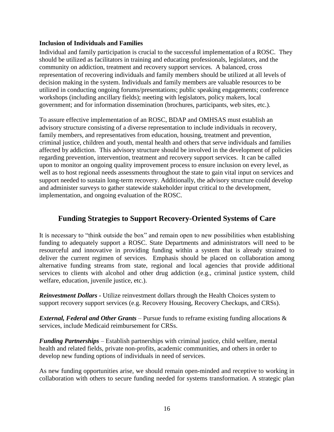#### **Inclusion of Individuals and Families**

Individual and family participation is crucial to the successful implementation of a ROSC. They should be utilized as facilitators in training and educating professionals, legislators, and the community on addiction, treatment and recovery support services. A balanced, cross representation of recovering individuals and family members should be utilized at all levels of decision making in the system. Individuals and family members are valuable resources to be utilized in conducting ongoing forums/presentations; public speaking engagements; conference workshops (including ancillary fields); meeting with legislators, policy makers, local government; and for information dissemination (brochures, participants, web sites, etc.).

To assure effective implementation of an ROSC, BDAP and OMHSAS must establish an advisory structure consisting of a diverse representation to include individuals in recovery, family members, and representatives from education, housing, treatment and prevention, criminal justice, children and youth, mental health and others that serve individuals and families affected by addiction. This advisory structure should be involved in the development of policies regarding prevention, intervention, treatment and recovery support services. It can be called upon to monitor an ongoing quality improvement process to ensure inclusion on every level, as well as to host regional needs assessments throughout the state to gain vital input on services and support needed to sustain long-term recovery. Additionally, the advisory structure could develop and administer surveys to gather statewide stakeholder input critical to the development, implementation, and ongoing evaluation of the ROSC.

# **Funding Strategies to Support Recovery-Oriented Systems of Care**

It is necessary to "think outside the box" and remain open to new possibilities when establishing funding to adequately support a ROSC. State Departments and administrators will need to be resourceful and innovative in providing funding within a system that is already strained to deliver the current regimen of services. Emphasis should be placed on collaboration among alternative funding streams from state, regional and local agencies that provide additional services to clients with alcohol and other drug addiction (e.g., criminal justice system, child welfare, education, juvenile justice, etc.).

*Reinvestment Dollars* **-** Utilize reinvestment dollars through the Health Choices system to support recovery support services (e.g. Recovery Housing, Recovery Checkups, and CRSs).

*External, Federal and Other Grants* – Pursue funds to reframe existing funding allocations & services, include Medicaid reimbursement for CRSs.

*Funding Partnerships* – Establish partnerships with criminal justice, child welfare, mental health and related fields, private non-profits, academic communities, and others in order to develop new funding options of individuals in need of services.

As new funding opportunities arise, we should remain open-minded and receptive to working in collaboration with others to secure funding needed for systems transformation. A strategic plan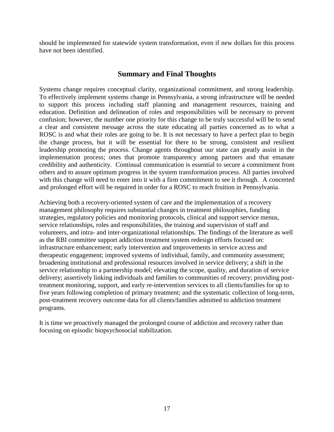should be implemented for statewide system transformation, even if new dollars for this process have not been identified.

## **Summary and Final Thoughts**

Systems change requires conceptual clarity, organizational commitment, and strong leadership. To effectively implement systems change in Pennsylvania, a strong infrastructure will be needed to support this process including staff planning and management resources, training and education. Definition and delineation of roles and responsibilities will be necessary to prevent confusion; however, the number one priority for this change to be truly successful will be to send a clear and consistent message across the state educating all parties concerned as to what a ROSC is and what their roles are going to be. It is not necessary to have a perfect plan to begin the change process, but it will be essential for there to be strong, consistent and resilient leadership promoting the process. Change agents throughout our state can greatly assist in the implementation process; ones that promote transparency among partners and that emanate credibility and authenticity. Continual communication is essential to secure a commitment from others and to assure optimum progress in the system transformation process. All parties involved with this change will need to enter into it with a firm commitment to see it through. A concerted and prolonged effort will be required in order for a ROSC to reach fruition in Pennsylvania.

Achieving both a recovery-oriented system of care and the implementation of a recovery management philosophy requires substantial changes in treatment philosophies, funding strategies, regulatory policies and monitoring protocols, clinical and support service menus, service relationships, roles and responsibilities, the training and supervision of staff and volunteers, and intra- and inter-organizational relationships. The findings of the literature as well as the RBI committee support addiction treatment system redesign efforts focused on: infrastructure enhancement; early intervention and improvements in service access and therapeutic engagement; improved systems of individual, family, and community assessment; broadening institutional and professional resources involved in service delivery; a shift in the service relationship to a partnership model; elevating the scope, quality, and duration of service delivery; assertively linking individuals and families to communities of recovery; providing posttreatment monitoring, support, and early re-intervention services to all clients/families for up to five years following completion of primary treatment; and the systematic collection of long-term, post-treatment recovery outcome data for all clients/families admitted to addiction treatment programs.

It is time we proactively managed the prolonged course of addiction and recovery rather than focusing on episodic biopsychosocial stabilization.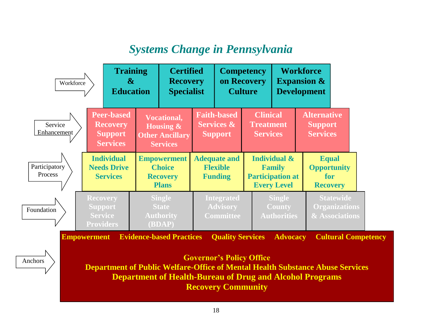# *Systems Change in Pennsylvania*

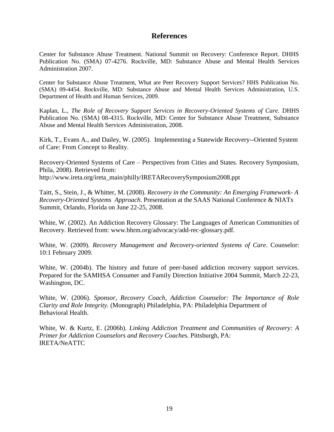## **References**

Center for Substance Abuse Treatment. National Summit on Recovery: Conference Report. DHHS Publication No. (SMA) 07-4276. Rockville, MD: Substance Abuse and Mental Health Services Administration 2007.

Center for Substance Abuse Treatment, What are Peer Recovery Support Services? HHS Publication No. (SMA) 09-4454. Rockville, MD: Substance Abuse and Mental Health Services Administration, U.S. Department of Health and Human Services, 2009.

Kaplan, L., *The Role of Recovery Support Services in Recovery-Oriented Systems of Care.* DHHS Publication No. (SMA) 08-4315. Rockville, MD: Center for Substance Abuse Treatment, Substance Abuse and Mental Health Services Administration, 2008.

Kirk, T., Evans A., and Dailey, W. (2005). Implementing a Statewide Recovery--Oriented System of Care: From Concept to Reality.

Recovery-Oriented Systems of Care – Perspectives from Cities and States. Recovery Symposium, Phila, 2008). Retrieved from:

http://www.ireta.org/ireta\_main/philly/IRETARecoverySymposium2008.ppt

Taitt, S., Stein, J., & Whitter, M. (2008). *Recovery in the Community: An Emerging Framework- A Recovery-Oriented Systems Approach*. Presentation at the SAAS National Conference & NIATx Summit, Orlando, Florida on June 22-25, 2008.

White, W. (2002). An Addiction Recovery Glossary: The Languages of American Communities of Recovery. Retrieved from: www.bhrm.org/advocacy/add-rec-glossary.pdf.

White, W. (2009). *Recovery Management and Recovery-oriented Systems of Care*. Counselor: 10:1 February 2009.

White, W. (2004b). The history and future of peer-based addiction recovery support services. Prepared for the SAMHSA Consumer and Family Direction Initiative 2004 Summit, March 22-23, Washington, DC.

White, W. (2006). *Sponsor, Recovery Coach, Addiction Counselor: The Importance of Role Clarity and Role Integrity.* (Monograph) Philadelphia, PA: Philadelphia Department of Behavioral Health.

White, W. & Kurtz, E. (2006b). *Linking Addiction Treatment and Communities of Recovery: A Primer for Addiction Counselors and Recovery Coache*s. Pittsburgh, PA: IRETA/NeATTC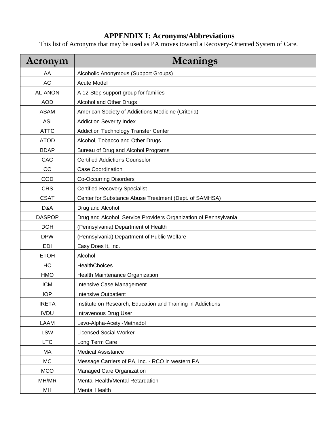# **APPENDIX I: Acronyms/Abbreviations**

This list of Acronyms that may be used as PA moves toward a Recovery-Oriented System of Care.

| Acronym        | <b>Meanings</b>                                                 |
|----------------|-----------------------------------------------------------------|
| AA             | Alcoholic Anonymous (Support Groups)                            |
| <b>AC</b>      | <b>Acute Model</b>                                              |
| <b>AL-ANON</b> | A 12-Step support group for families                            |
| <b>AOD</b>     | Alcohol and Other Drugs                                         |
| <b>ASAM</b>    | American Society of Addictions Medicine (Criteria)              |
| <b>ASI</b>     | <b>Addiction Severity Index</b>                                 |
| <b>ATTC</b>    | <b>Addiction Technology Transfer Center</b>                     |
| <b>ATOD</b>    | Alcohol, Tobacco and Other Drugs                                |
| <b>BDAP</b>    | Bureau of Drug and Alcohol Programs                             |
| CAC            | <b>Certified Addictions Counselor</b>                           |
| cc             | <b>Case Coordination</b>                                        |
| COD            | <b>Co-Occurring Disorders</b>                                   |
| <b>CRS</b>     | <b>Certified Recovery Specialist</b>                            |
| <b>CSAT</b>    | Center for Substance Abuse Treatment (Dept. of SAMHSA)          |
| D&A            | Drug and Alcohol                                                |
| <b>DASPOP</b>  | Drug and Alcohol Service Providers Organization of Pennsylvania |
| <b>DOH</b>     | (Pennsylvania) Department of Health                             |
| <b>DPW</b>     | (Pennsylvania) Department of Public Welfare                     |
| <b>EDI</b>     | Easy Does It, Inc.                                              |
| <b>ETOH</b>    | Alcohol                                                         |
| <b>HC</b>      | HealthChoices                                                   |
| <b>HMO</b>     | Health Maintenance Organization                                 |
| <b>ICM</b>     | Intensive Case Management                                       |
| <b>IOP</b>     | <b>Intensive Outpatient</b>                                     |
| <b>IRETA</b>   | Institute on Research, Education and Training in Addictions     |
| <b>IVDU</b>    | Intravenous Drug User                                           |
| LAAM           | Levo-Alpha-Acetyl-Methadol                                      |
| <b>LSW</b>     | <b>Licensed Social Worker</b>                                   |
| <b>LTC</b>     | Long Term Care                                                  |
| MA             | <b>Medical Assistance</b>                                       |
| МC             | Message Carriers of PA, Inc. - RCO in western PA                |
| <b>MCO</b>     | Managed Care Organization                                       |
| MH/MR          | Mental Health/Mental Retardation                                |
| MH             | Mental Health                                                   |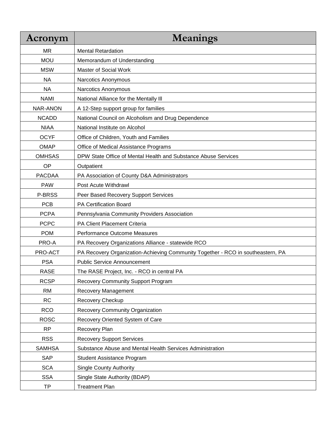| Acronym         | <b>Meanings</b>                                                                 |
|-----------------|---------------------------------------------------------------------------------|
| MR              | <b>Mental Retardation</b>                                                       |
| <b>MOU</b>      | Memorandum of Understanding                                                     |
| <b>MSW</b>      | Master of Social Work                                                           |
| <b>NA</b>       | Narcotics Anonymous                                                             |
| <b>NA</b>       | Narcotics Anonymous                                                             |
| <b>NAMI</b>     | National Alliance for the Mentally III                                          |
| <b>NAR-ANON</b> | A 12-Step support group for families                                            |
| <b>NCADD</b>    | National Council on Alcoholism and Drug Dependence                              |
| <b>NIAA</b>     | National Institute on Alcohol                                                   |
| <b>OCYF</b>     | Office of Children, Youth and Families                                          |
| <b>OMAP</b>     | Office of Medical Assistance Programs                                           |
| <b>OMHSAS</b>   | DPW State Office of Mental Health and Substance Abuse Services                  |
| OP              | Outpatient                                                                      |
| <b>PACDAA</b>   | PA Association of County D&A Administrators                                     |
| <b>PAW</b>      | Post Acute Withdrawl                                                            |
| P-BRSS          | Peer Based Recovery Support Services                                            |
| <b>PCB</b>      | PA Certification Board                                                          |
| <b>PCPA</b>     | Pennsylvania Community Providers Association                                    |
| <b>PCPC</b>     | PA Client Placement Criteria                                                    |
| <b>POM</b>      | Performance Outcome Measures                                                    |
| PRO-A           | PA Recovery Organizations Alliance - statewide RCO                              |
| PRO-ACT         | PA Recovery Organization-Achieving Community Together - RCO in southeastern, PA |
| <b>PSA</b>      | <b>Public Service Announcement</b>                                              |
| <b>RASE</b>     | The RASE Project, Inc. - RCO in central PA                                      |
| <b>RCSP</b>     | <b>Recovery Community Support Program</b>                                       |
| <b>RM</b>       | Recovery Management                                                             |
| <b>RC</b>       | Recovery Checkup                                                                |
| <b>RCO</b>      | Recovery Community Organization                                                 |
| <b>ROSC</b>     | Recovery Oriented System of Care                                                |
| <b>RP</b>       | Recovery Plan                                                                   |
| <b>RSS</b>      | <b>Recovery Support Services</b>                                                |
| <b>SAMHSA</b>   | Substance Abuse and Mental Health Services Administration                       |
| <b>SAP</b>      | Student Assistance Program                                                      |
| <b>SCA</b>      | <b>Single County Authority</b>                                                  |
| <b>SSA</b>      | Single State Authority (BDAP)                                                   |
| TP              | <b>Treatment Plan</b>                                                           |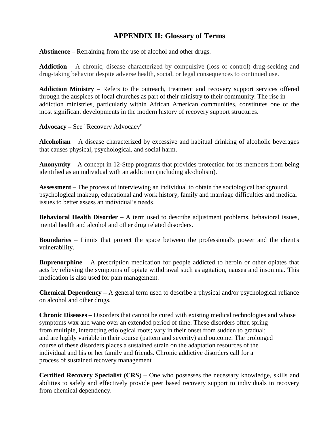# **APPENDIX II: Glossary of Terms**

**Abstinence –** Refraining from the use of alcohol and other drugs.

**Addiction** – A chronic, disease characterized by compulsive (loss of control) drug-seeking and drug-taking behavior despite adverse health, social, or legal consequences to continued use.

**Addiction Ministry** – Refers to the outreach, treatment and recovery support services offered through the auspices of local churches as part of their ministry to their community. The rise in addiction ministries, particularly within African American communities, constitutes one of the most significant developments in the modern history of recovery support structures.

**Advocacy –** See "Recovery Advocacy"

**Alcoholism** – A disease characterized by excessive and habitual drinking of alcoholic beverages that causes physical, psychological, and social harm.

**Anonymity –** A concept in 12-Step programs that provides protection for its members from being identified as an individual with an addiction (including alcoholism).

**Assessment** – The process of interviewing an individual to obtain the sociological background, psychological makeup, educational and work history, family and marriage difficulties and medical issues to better assess an individual's needs.

**Behavioral Health Disorder** – A term used to describe adjustment problems, behavioral issues, mental health and alcohol and other drug related disorders.

**Boundaries** – Limits that protect the space between the professional's power and the client's vulnerability.

**Buprenorphine –** A prescription medication for people addicted to heroin or other opiates that acts by relieving the symptoms of opiate withdrawal such as agitation, nausea and insomnia. This medication is also used for pain management.

**Chemical Dependency –** A general term used to describe a physical and/or psychological reliance on alcohol and other drugs.

**Chronic Diseases** – Disorders that cannot be cured with existing medical technologies and whose symptoms wax and wane over an extended period of time. These disorders often spring from multiple, interacting etiological roots; vary in their onset from sudden to gradual; and are highly variable in their course (pattern and severity) and outcome. The prolonged course of these disorders places a sustained strain on the adaptation resources of the individual and his or her family and friends. Chronic addictive disorders call for a process of sustained recovery management

**Certified Recovery Specialist (CRS**) – One who possesses the necessary knowledge, skills and abilities to safely and effectively provide peer based recovery support to individuals in recovery from chemical dependency.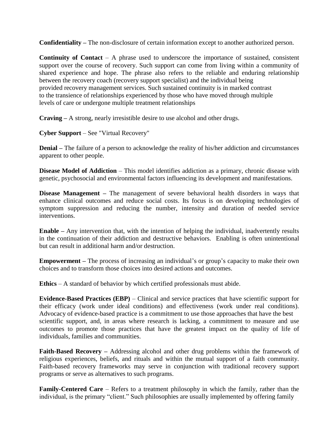**Confidentiality –** The non-disclosure of certain information except to another authorized person.

**Continuity of Contact** – A phrase used to underscore the importance of sustained, consistent support over the course of recovery. Such support can come from living within a community of shared experience and hope. The phrase also refers to the reliable and enduring relationship between the recovery coach (recovery support specialist) and the individual being provided recovery management services. Such sustained continuity is in marked contrast to the transience of relationships experienced by those who have moved through multiple levels of care or undergone multiple treatment relationships

**Craving –** A strong, nearly irresistible desire to use alcohol and other drugs.

**Cyber Support** – See "Virtual Recovery"

**Denial –** The failure of a person to acknowledge the reality of his/her addiction and circumstances apparent to other people.

**Disease Model of Addiction** – This model identifies addiction as a primary, chronic disease with genetic, psychosocial and environmental factors influencing its development and manifestations.

**Disease Management** – The management of severe behavioral health disorders in ways that enhance clinical outcomes and reduce social costs. Its focus is on developing technologies of symptom suppression and reducing the number, intensity and duration of needed service interventions.

**Enable –** Any intervention that, with the intention of helping the individual, inadvertently results in the continuation of their addiction and destructive behaviors. Enabling is often unintentional but can result in additional harm and/or destruction.

**Empowerment –** The process of increasing an individual's or group's capacity to make their own choices and to transform those choices into desired actions and outcomes.

**Ethics** – A standard of behavior by which certified professionals must abide.

**Evidence-Based Practices (EBP)** – Clinical and service practices that have scientific support for their efficacy (work under ideal conditions) and effectiveness (work under real conditions). Advocacy of evidence-based practice is a commitment to use those approaches that have the best scientific support, and, in areas where research is lacking, a commitment to measure and use outcomes to promote those practices that have the greatest impact on the quality of life of individuals, families and communities.

**Faith-Based Recovery –** Addressing alcohol and other drug problems within the framework of religious experiences, beliefs, and rituals and within the mutual support of a faith community. Faith-based recovery frameworks may serve in conjunction with traditional recovery support programs or serve as alternatives to such programs.

**Family-Centered Care** – Refers to a treatment philosophy in which the family, rather than the individual, is the primary "client." Such philosophies are usually implemented by offering family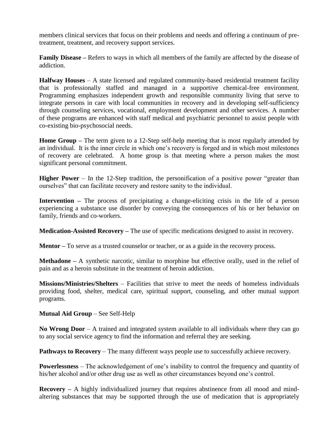members clinical services that focus on their problems and needs and offering a continuum of pretreatment, treatment, and recovery support services.

**Family Disease –** Refers to ways in which all members of the family are affected by the disease of addiction.

**Halfway Houses** – A state licensed and regulated community-based residential treatment facility that is professionally staffed and managed in a supportive chemical-free environment. Programming emphasizes independent growth and responsible community living that serve to integrate persons in care with local communities in recovery and in developing self-sufficiency through counseling services, vocational, employment development and other services. A number of these programs are enhanced with staff medical and psychiatric personnel to assist people with co-existing bio-psychosocial needs.

**Home Group –** The term given to a 12-Step self-help meeting that is most regularly attended by an individual. It is the inner circle in which one's recovery is forged and in which most milestones of recovery are celebrated. A home group is that meeting where a person makes the most significant personal commitment.

**Higher Power** – In the 12-Step tradition, the personification of a positive power "greater than ourselves" that can facilitate recovery and restore sanity to the individual.

**Intervention** – The process of precipitating a change-eliciting crisis in the life of a person experiencing a substance use disorder by conveying the consequences of his or her behavior on family, friends and co-workers.

**Medication-Assisted Recovery –** The use of specific medications designed to assist in recovery.

**Mentor** – To serve as a trusted counselor or teacher, or as a guide in the recovery process.

**Methadone –** A synthetic narcotic, similar to morphine but effective orally, used in the relief of pain and as a heroin substitute in the treatment of heroin addiction.

**Missions/Ministries/Shelters** – Facilities that strive to meet the needs of homeless individuals providing food, shelter, medical care, spiritual support, counseling, and other mutual support programs.

**Mutual Aid Group** – See Self-Help

**No Wrong Door** – A trained and integrated system available to all individuals where they can go to any social service agency to find the information and referral they are seeking.

**Pathways to Recovery** – The many different ways people use to successfully achieve recovery.

**Powerlessness** – The acknowledgement of one's inability to control the frequency and quantity of his/her alcohol and/or other drug use as well as other circumstances beyond one's control.

**Recovery** – A highly individualized journey that requires abstinence from all mood and mindaltering substances that may be supported through the use of medication that is appropriately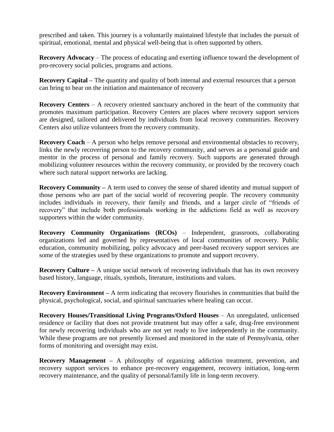prescribed and taken. This journey is a voluntarily maintained lifestyle that includes the pursuit of spiritual, emotional, mental and physical well-being that is often supported by others.

**Recovery Advocacy** – The process of educating and exerting influence toward the development of pro-recovery social policies, programs and actions.

**Recovery Capital –** The quantity and quality of both internal and external resources that a person can bring to bear on the initiation and maintenance of recovery

**Recovery Centers** – A recovery oriented sanctuary anchored in the heart of the community that promotes maximum participation. Recovery Centers are places where recovery support services are designed, tailored and delivered by individuals from local recovery communities. Recovery Centers also utilize volunteers from the recovery community.

**Recovery Coach** – A person who helps remove personal and environmental obstacles to recovery, links the newly recovering person to the recovery community, and serves as a personal guide and mentor in the process of personal and family recovery. Such supports are generated through mobilizing volunteer resources within the recovery community, or provided by the recovery coach where such natural support networks are lacking.

**Recovery Community** – A term used to convey the sense of shared identity and mutual support of those persons who are part of the social world of recovering people. The recovery community includes individuals in recovery, their family and friends, and a larger circle of "friends of recovery" that include both professionals working in the addictions field as well as recovery supporters within the wider community.

**Recovery Community Organizations (RCOs)** – Independent, grassroots, collaborating organizations led and governed by representatives of local communities of recovery. Public education, community mobilizing, policy advocacy and peer-based recovery support services are some of the strategies used by these organizations to promote and support recovery.

**Recovery Culture –** A unique social network of recovering individuals that has its own recovery based history, language, rituals, symbols, literature, institutions and values.

**Recovery Environment** – A term indicating that recovery flourishes in communities that build the physical, psychological, social, and spiritual sanctuaries where healing can occur.

**Recovery Houses/Transitional Living Programs/Oxford Houses** – An unregulated, unlicensed residence or facility that does not provide treatment but may offer a safe, drug-free environment for newly recovering individuals who are not yet ready to live independently in the community. While these programs are not presently licensed and monitored in the state of Pennsylvania, other forms of monitoring and oversight may exist.

**Recovery Management** – A philosophy of organizing addiction treatment, prevention, and recovery support services to enhance pre-recovery engagement, recovery initiation, long-term recovery maintenance, and the quality of personal/family life in long-term recovery.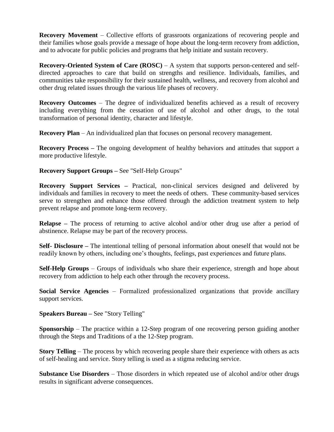**Recovery Movement** – Collective efforts of grassroots organizations of recovering people and their families whose goals provide a message of hope about the long-term recovery from addiction, and to advocate for public policies and programs that help initiate and sustain recovery.

**Recovery-Oriented System of Care (ROSC)** – A system that supports person-centered and selfdirected approaches to care that build on strengths and resilience. Individuals, families, and communities take responsibility for their sustained health, wellness, and recovery from alcohol and other drug related issues through the various life phases of recovery.

**Recovery Outcomes** – The degree of individualized benefits achieved as a result of recovery including everything from the cessation of use of alcohol and other drugs, to the total transformation of personal identity, character and lifestyle.

**Recovery Plan** – An individualized plan that focuses on personal recovery management.

**Recovery Process –** The ongoing development of healthy behaviors and attitudes that support a more productive lifestyle.

**Recovery Support Groups –** See "Self-Help Groups"

**Recovery Support Services –** Practical, non-clinical services designed and delivered by individuals and families in recovery to meet the needs of others. These community-based services serve to strengthen and enhance those offered through the addiction treatment system to help prevent relapse and promote long-term recovery.

**Relapse –** The process of returning to active alcohol and/or other drug use after a period of abstinence. Relapse may be part of the recovery process.

**Self- Disclosure –** The intentional telling of personal information about oneself that would not be readily known by others, including one's thoughts, feelings, past experiences and future plans.

**Self-Help Groups** – Groups of individuals who share their experience, strength and hope about recovery from addiction to help each other through the recovery process.

**Social Service Agencies** – Formalized professionalized organizations that provide ancillary support services.

**Speakers Bureau –** See "Story Telling"

**Sponsorship** – The practice within a 12-Step program of one recovering person guiding another through the Steps and Traditions of a the 12-Step program.

**Story Telling** – The process by which recovering people share their experience with others as acts of self-healing and service. Story telling is used as a stigma reducing service.

**Substance Use Disorders** – Those disorders in which repeated use of alcohol and/or other drugs results in significant adverse consequences.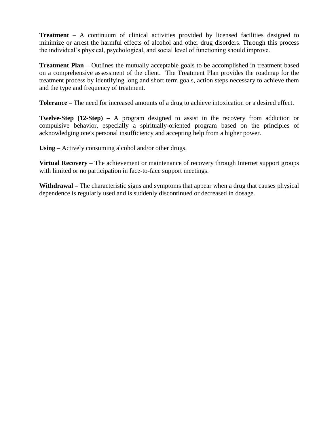**Treatment** – A continuum of clinical activities provided by licensed facilities designed to minimize or arrest the harmful effects of alcohol and other drug disorders. Through this process the individual's physical, psychological, and social level of functioning should improve.

**Treatment Plan** – Outlines the mutually acceptable goals to be accomplished in treatment based on a comprehensive assessment of the client. The Treatment Plan provides the roadmap for the treatment process by identifying long and short term goals, action steps necessary to achieve them and the type and frequency of treatment.

**Tolerance –** The need for increased amounts of a drug to achieve intoxication or a desired effect.

**Twelve-Step (12-Step)** – A program designed to assist in the recovery from addiction or compulsive behavior, especially a spiritually-oriented program based on the principles of acknowledging one's personal insufficiency and accepting help from a higher power.

**Using** – Actively consuming alcohol and/or other drugs.

**Virtual Recovery** – The achievement or maintenance of recovery through Internet support groups with limited or no participation in face-to-face support meetings.

**Withdrawal –** The characteristic signs and symptoms that appear when a drug that causes physical dependence is regularly used and is suddenly discontinued or decreased in dosage.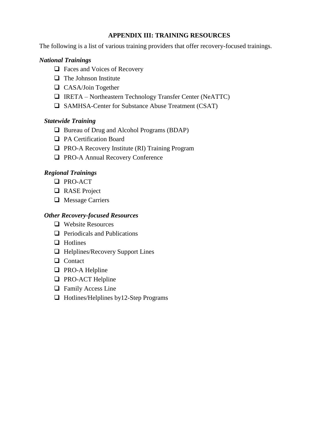## **APPENDIX III: TRAINING RESOURCES**

The following is a list of various training providers that offer recovery-focused trainings.

## *National Trainings*

- □ Faces and Voices of Recovery
- $\Box$  The Johnson Institute
- **CASA/Join Together**
- IRETA Northeastern Technology Transfer Center (NeATTC)
- SAMHSA-Center for Substance Abuse Treatment (CSAT)

## *Statewide Training*

- $\Box$  Bureau of Drug and Alcohol Programs (BDAP)
- **Q** PA Certification Board
- □ PRO-A Recovery Institute (RI) Training Program
- **Q** PRO-A Annual Recovery Conference

## *Regional Trainings*

- □ PRO-ACT
- RASE Project
- **Nessage Carriers**

## *Other Recovery-focused Resources*

- Website Resources
- $\Box$  Periodicals and Publications
- $\Box$  Hotlines
- $\Box$  Helplines/Recovery Support Lines
- **Q** Contact
- $\Box$  PRO-A Helpline
- **Q** PRO-ACT Helpline
- $\Box$  Family Access Line
- $\Box$  Hotlines/Helplines by 12-Step Programs